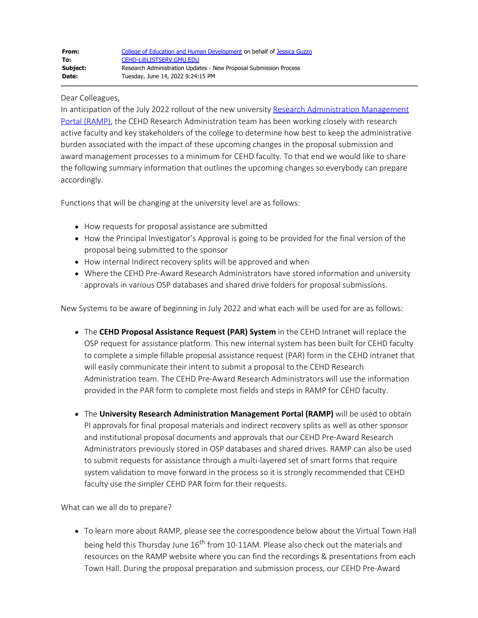## Dear Colleagues,

In anticipation of the July 2022 rollout of the new university [Research Administration Management](https://ramp.gmu.edu/) [Portal \(RAMP\)](https://ramp.gmu.edu/), the CEHD Research Administration team has been working closely with research active faculty and key stakeholders of the college to determine how best to keep the administrative burden associated with the impact of these upcoming changes in the proposal submission and award management processes to a minimum for CEHD faculty. To that end we would like to share the following summary information that outlines the upcoming changes so everybody can prepare accordingly.

Functions that will be changing at the university level are as follows:

- How requests for proposal assistance are submitted
- How the Principal Investigator's Approval is going to be provided for the final version of the proposal being submitted to the sponsor
- How internal Indirect recovery splits will be approved and when
- Where the CEHD Pre-Award Research Administrators have stored information and university approvals in various OSP databases and shared drive folders for proposal submissions.

New Systems to be aware of beginning in July 2022 and what each will be used for are as follows:

- The **CEHD Proposal Assistance Request (PAR) System** in the CEHD Intranet will replace the OSP request for assistance platform. This new internal system has been built for CEHD faculty to complete a simple fillable proposal assistance request (PAR) form in the CEHD intranet that will easily communicate their intent to submit a proposal to the CEHD Research Administration team. The CEHD Pre-Award Research Administrators will use the information provided in the PAR form to complete most fields and steps in RAMP for CEHD faculty.
- The **University Research Administration Management Portal (RAMP)** will be used to obtain PI approvals for final proposal materials and indirect recovery splits as well as other sponsor and institutional proposal documents and approvals that our CEHD Pre-Award Research Administrators previously stored in OSP databases and shared drives. RAMP can also be used to submit requests for assistance through a multi-layered set of smart forms that require system validation to move forward in the process so it is strongly recommended that CEHD faculty use the simpler CEHD PAR form for their requests.

What can we all do to prepare?

To learn more about RAMP, please see the correspondence below about the Virtual Town Hall being held this Thursday June 16<sup>th</sup> from 10-11AM. Please also check out the materials and resources on the RAMP website where you can find the recordings & presentations from each Town Hall. During the proposal preparation and submission process, our CEHD Pre-Award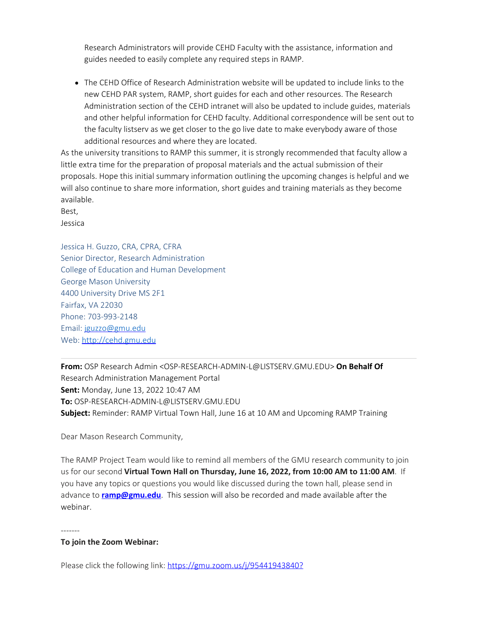Research Administrators will provide CEHD Faculty with the assistance, information and guides needed to easily complete any required steps in RAMP.

The CEHD Office of Research Administration website will be updated to include links to the new CEHD PAR system, RAMP, short guides for each and other resources. The Research Administration section of the CEHD intranet will also be updated to include guides, materials and other helpful information for CEHD faculty. Additional correspondence will be sent out to the faculty listserv as we get closer to the go live date to make everybody aware of those additional resources and where they are located.

As the university transitions to RAMP this summer, it is strongly recommended that faculty allow a little extra time for the preparation of proposal materials and the actual submission of their proposals. Hope this initial summary information outlining the upcoming changes is helpful and we will also continue to share more information, short guides and training materials as they become available.

Best, Jessica

Jessica H. Guzzo, CRA, CPRA, CFRA Senior Director, Research Administration College of Education and Human Development George Mason University 4400 University Drive MS 2F1 Fairfax, VA 22030 Phone: 703-993-2148 Email: [jguzzo@gmu.edu](mailto:jguzzo@gmu.edu) Web: [http://cehd.gmu.edu](http://cehd.gmu.edu/)

**From:** OSP Research Admin <OSP-RESEARCH-ADMIN-L@LISTSERV.GMU.EDU> **On Behalf Of** Research Administration Management Portal **Sent:** Monday, June 13, 2022 10:47 AM **To:** OSP-RESEARCH-ADMIN-L@LISTSERV.GMU.EDU **Subject:** Reminder: RAMP Virtual Town Hall, June 16 at 10 AM and Upcoming RAMP Training

Dear Mason Research Community,

The RAMP Project Team would like to remind all members of the GMU research community to join us for our second **Virtual Town Hall on Thursday, June 16, 2022, from 10:00 AM to 11:00 AM**. If you have any topics or questions you would like discussed during the town hall, please send in advance to **[ramp@gmu.edu](mailto:ramp@gmu.edu)**. This session will also be recorded and made available after the webinar.

-------

## **To join the Zoom Webinar:**

Please click the following link: [https://gmu.zoom.us/j/95441943840?](https://nam11.safelinks.protection.outlook.com/?url=https%3A%2F%2Fgmu.zoom.us%2Fj%2F95441943840%3Fpwd%3DeFF5eDAyWUU1Y0dWRGU0eTRIeE5Bdz09&data=05%7C01%7Cdbeatty2%40gmu.edu%7C27ab6473f573490df4a108da4e6dc130%7C9e857255df574c47a0c00546460380cb%7C0%7C0%7C637908530548568802%7CUnknown%7CTWFpbGZsb3d8eyJWIjoiMC4wLjAwMDAiLCJQIjoiV2luMzIiLCJBTiI6Ik1haWwiLCJXVCI6Mn0%3D%7C3000%7C%7C%7C&sdata=lz26yQQnY0WLGbSNvSlzWI12BUH2ag%2B6O19Hbaf1p10%3D&reserved=0)